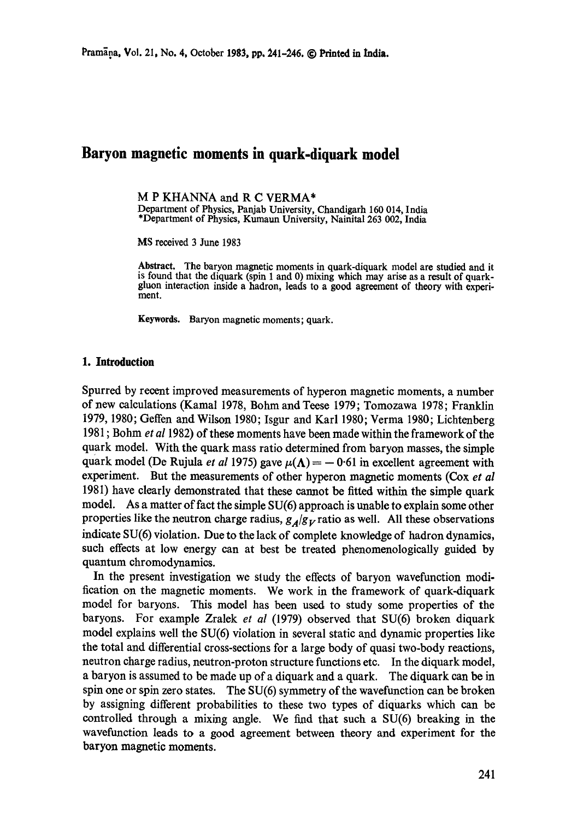# **Baryon magnetic moments in quark-diquark model**

M P KHANNA and R C VERMA\*

Department of Physics, Panjab University, Chandigarh 160 014, India \*Department of Physics, Kumaun University, Nainita1263 002, India

MS received 3 June 1983

**Abstract.** The baryon magnetic moments in quark-diquark model are studied and it is found that the diquark (spin 1 and 0) mixing which may arise as a result of quark- gluon interaction inside a hadron, leads to a good agreement of theory with experi- ment.

**Keywords.** Baryon magnetic moments; quark.

### **1. Introduction**

Spurred by recent improved measurements of hyperon magnetic moments, a number of new calculations (Kamal 1978, Bohm and Teese 1979; Tomozawa 1978; Franklin 1979, 1980; Geffen and Wilson 1980; Isgur and Karl 1980; Verma 1980; Lichtenberg 1981 ; Bohm *et al* 1982) of these moments have been made within the framework of the quark model. With the quark mass ratio determined from baryon masses, the simple quark model (De Rujula *et al* 1975) gave  $\mu(\Lambda) = -0.61$  in excellent agreement with experiment. But the measurements of other hyperon magnetic moments (Cox *et al*  1981) have clearly demonstrated that these cannot be fitted within the simple quark model. As a matter of fact the simple SU(6) approach is unable to explain some other properties like the neutron charge radius,  $g_A/g_V$  ratio as well. All these observations indicate SU(6) violation. Due to the lack of complete knowledge of hadron dynamics, such effects at low energy can at best be treated phenomenologically guided by quantum chromodynamics.

In the present investigation we study the effects of baryon wavefunction modification on the magnetic moments. We work in the framework of quark-diquark model for baryons. This model has been used to study some properties of the baryons. For example Zralek *et al* (1979) observed that SU(6) broken diquark model explains well the SU(6) violation in several static and dynamic properties like the total and differential cross-sections for a large body of quasi two-body reactions, neutron charge radius, neutron-proton structure functions etc. In the diquark model, a baryon is assumed to be made up of a diquark and a quark. The diquark can be in spin one or spin zero states. The  $SU(6)$  symmetry of the wavefunction can be broken by assigning different probabilities to these two types of diquarks which can be controlled through a mixing angle. We find that such a SU(6) breaking in the wavefunction leads to a good agreement between theory and experiment for the baryon magnetic moments.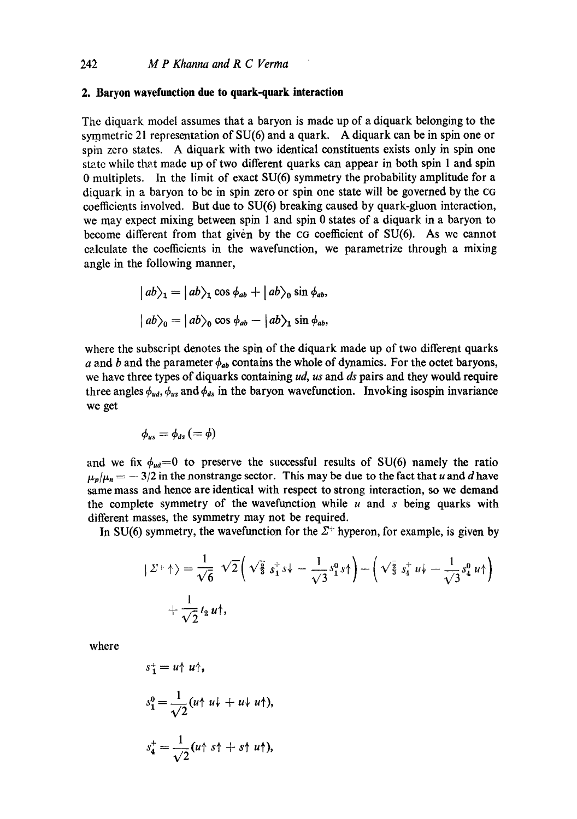### **2. Baryon wavefunction due to quark-quark interaction**

The diquark model assumes that a baryon is made up of a diquark belonging to the symmetric 21 representation of SU(6) and a quark. A diquark can be in spin one or spin zero states. A diquark with two identical constituents exists only in spin one state while that made up of two different quarks can appear in both spin  $1$  and spin 0 multiplets. In the limit of exact SU(6) symmetry the probability amplitude for a diquark in a baryon to be in spin zero or spin one state will be governed by the CG coefficients involved. But due to SU(6) breaking caused by quark-gluon interaction, we may expect mixing between spin 1 and spin 0 states of a diquark in a baryon to become different from that given by the CG coefficient of SU(6). As we cannot calculate the coefficients in the wavefunction, we parametrize through a mixing angle in the following manner,

$$
|ab\rangle_1 = |ab\rangle_1 \cos \phi_{ab} + |ab\rangle_0 \sin \phi_{ab},
$$
  

$$
|ab\rangle_0 = |ab\rangle_0 \cos \phi_{ab} - |ab\rangle_1 \sin \phi_{ab},
$$

where the subscript denotes the spin of the diquark made up of two different quarks a and b and the parameter  $\phi_{ab}$  contains the whole of dynamics. For the octet baryons, we have three types of diquarks containing *ud, us* and *ds* pairs and they would require three angles  $\phi_{ud}$ ,  $\phi_{us}$  and  $\phi_{ds}$  in the baryon wavefunction. Invoking isospin invariance we get

$$
\phi_{us}=\phi_{ds}\,(=\phi)
$$

and we fix  $\phi_{ud}=0$  to preserve the successful results of SU(6) namely the ratio  $\mu_n/\mu_n = -3/2$  in the nonstrange sector. This may be due to the fact that u and d have same mass and hence are identical with respect to strong interaction, so we demand the complete symmetry of the wavefunction while  $u$  and  $s$  being quarks with different masses, the symmetry may not be required.

In SU(6) symmetry, the wavefunction for the  $\Sigma^+$  hyperon, for example, is given by

$$
\begin{aligned} \mid \Sigma^+ \uparrow \rangle &= \frac{1}{\sqrt{6}} \sqrt{2} \bigg( \sqrt{\frac{2}{3}} \, s_1^+ s \bigg) - \bigg( \sqrt{\frac{2}{3}} \, s_4^+ u \bigg) - \bigg( \sqrt{\frac{2}{3}} \, s_4^+ u \bigg) - \bigg( \sqrt{\frac{2}{3}} \, s_4^+ u \bigg) - \bigg( \sqrt{\frac{2}{3}} \, s_4^+ u \bigg) - \bigg( \sqrt{\frac{2}{3}} \, s_4^+ u \bigg) - \bigg( \sqrt{\frac{2}{3}} \, s_4^+ u \bigg) - \bigg( \sqrt{\frac{2}{3}} \, s_4^+ u \bigg) - \bigg( \sqrt{\frac{2}{3}} \, s_4^+ u \bigg) - \bigg( \sqrt{\frac{2}{3}} \, s_4^+ u \bigg) - \bigg( \sqrt{\frac{2}{3}} \, s_4^+ u \bigg) - \bigg( \sqrt{\frac{2}{3}} \, s_4^+ u \bigg) - \bigg( \sqrt{\frac{2}{3}} \, s_4^+ u \bigg) - \bigg( \sqrt{\frac{2}{3}} \, s_4^+ u \bigg) - \bigg( \sqrt{\frac{2}{3}} \, s_4^+ u \bigg) - \bigg( \sqrt{\frac{2}{3}} \, s_4^+ u \bigg) - \bigg( \sqrt{\frac{2}{3}} \, s_4^+ u \bigg) - \bigg( \sqrt{\frac{2}{3}} \, s_4^+ u \bigg) - \bigg( \sqrt{\frac{2}{3}} \, s_4^+ u \bigg) - \bigg( \sqrt{\frac{2}{3}} \, s_4^+ u \bigg) - \bigg( \sqrt{\frac{2}{3}} \, s_4^+ u \bigg) - \bigg( \sqrt{\frac{2}{3}} \, s_4^+ u \bigg) - \bigg( \sqrt{\frac{2}{3}} \, s_4^+ u \bigg) - \bigg( \sqrt{\frac{2}{3}} \, s_4^+ u \bigg) - \bigg( \sqrt{\frac{2}{3}} \, s_4^+ u \bigg) - \bigg( \sqrt{\frac{2}{3}} \, s_4^+ u \bigg) - \bigg( \sqrt{\frac{2}{3}} \, s_4^+ u \bigg) - \bigg( \sqrt{\frac{2}{3}} \, s_4^+ u \big
$$

where

$$
s_1^+ = u \uparrow u \uparrow,
$$
  
\n
$$
s_1^0 = \frac{1}{\sqrt{2}} (u \uparrow u \downarrow + u \downarrow u \uparrow),
$$
  
\n
$$
s_4^+ = \frac{1}{\sqrt{2}} (u \uparrow s \uparrow + s \uparrow u \uparrow),
$$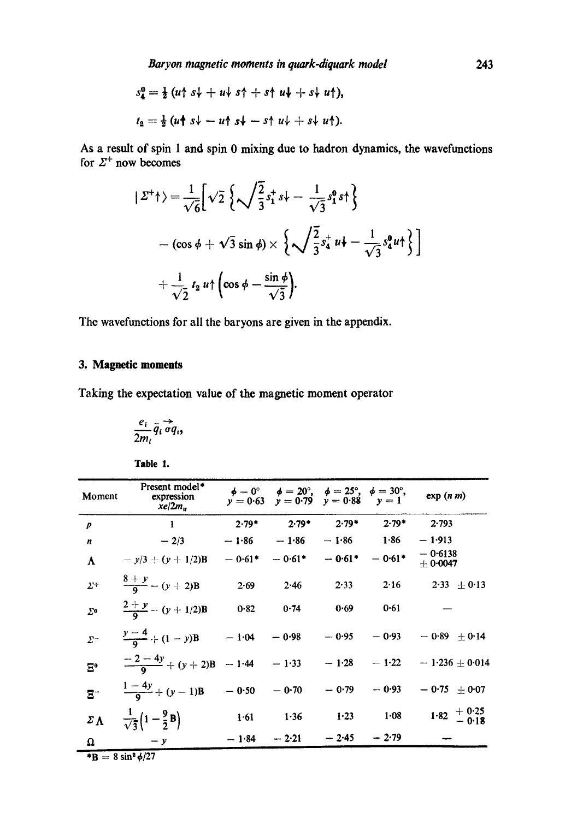$$
s_4^0 = \frac{1}{2} (u \uparrow s \downarrow + u \downarrow s \uparrow + s \uparrow u \downarrow + s \downarrow u \uparrow),
$$
  

$$
t_2 = \frac{1}{2} (u \uparrow s \downarrow - u \uparrow s \downarrow - s \uparrow u \downarrow + s \downarrow u \uparrow).
$$

AS a result of spin 1 and spin 0 mixing due to hadron dynamics, the wavefunetions for  $2^{\circ}$  now becomes

$$
\begin{aligned}\n\left| \varSigma^{+} \uparrow \right\rangle &= \frac{1}{\sqrt{6}} \left[ \sqrt{2} \left\{ \sqrt{\frac{2}{3}} s_{1}^{+} s_{1} + \frac{1}{\sqrt{3}} s_{1}^{0} s_{1}^{+} \right\} \right. \\
&\left. - \left( \cos \phi + \sqrt{3} \sin \phi \right) \times \left\{ \sqrt{\frac{2}{3}} s_{4}^{+} u_{1} + \frac{1}{\sqrt{3}} s_{4}^{0} u_{1}^{+} \right\} \right] \\
&+ \frac{1}{\sqrt{2}} t_{2} u_{1}^{+} \left( \cos \phi - \frac{\sin \phi}{\sqrt{3}} \right).\n\end{aligned}
$$

**The wavefunctions for all the baryons are given in the appendix.** 

## **3. Magnetic moments**

Taking the expectation value of the magnetic moment operator

$$
\frac{e_i}{2m_i}\overline{q}_i\overrightarrow{\sigma q}_i,
$$

| I<br>ı<br>4<br>I<br>۰. |  |
|------------------------|--|
|------------------------|--|

| Moment                    | Present model*<br>expression<br>$x e / 2 m_u$ |                | $\phi = 0^{\circ}$ $\phi = 20^{\circ}$ , $\phi = 25^{\circ}$ , $\phi = 30^{\circ}$ ,<br>$y = 0.63$ $y = 0.79$ $y = 0.88$ $y = 1$ |          |                | exp(n m)                                           |
|---------------------------|-----------------------------------------------|----------------|----------------------------------------------------------------------------------------------------------------------------------|----------|----------------|----------------------------------------------------|
| $\boldsymbol{p}$          | 1                                             | $2.79*$        | $2.79*$                                                                                                                          | $2.79*$  | $2.79*$        | 2.793                                              |
| n                         | $-2/3$                                        | $-1.86$        | $-1.86$                                                                                                                          | $-1.86$  | 1.86           | $-1.913$                                           |
| A                         | $-y/3 + (y + 1/2)B$                           | $-0.61*$       | $-0.61*$                                                                                                                         | $-0.61*$ | $-0.61*$       | $-0.6138$<br>± 0.0047                              |
| $\Sigma^+$                | $\frac{8+y}{9} - (y+2)B$                      | 2.69           | 2.46                                                                                                                             | $2 - 33$ | 2.16           | $2.33 \pm 0.13$                                    |
| $\Sigma$ <sup>o</sup>     | $rac{2+y}{2} - (y+1/2)B$                      | 0.82           | 0.74                                                                                                                             | 0.69     | 0.61           |                                                    |
| $\Sigma^-$                | $\frac{y-4}{0}$ + $(1-y)$ B - 1.04 - 0.98     |                |                                                                                                                                  | $-0.95$  | $-0.93$        | $-0.89 + 0.14$                                     |
| $\mathbf{E}^{\mathbf{e}}$ | $\frac{-2-4y}{9} + (y+2)B - 1.44 - 1.33$      |                |                                                                                                                                  |          | $-1.28 - 1.22$ | $-1.236 \pm 0.014$                                 |
| $\overline{E}^-$          | $\frac{1-4y}{9} + (y-1)B$                     | $-0.50 - 0.70$ |                                                                                                                                  | $-0.79$  | $-0.93$        | $-0.75 \pm 0.07$                                   |
| $\Sigma \Lambda$          | $\frac{1}{\sqrt{3}}(1-\frac{9}{2}B)$          | $1 - 61$       | 1.36                                                                                                                             | 1.23     | 1.08           | $1.82 \begin{array}{l} +0.25 \\ -0.18 \end{array}$ |
| Ω                         | $-y$                                          | $-1.84$        | $-2.21$                                                                                                                          | $-2.45$  | $-2.79$        |                                                    |

 $\overline{B} = 8 \sin^2 \frac{\phi}{27}$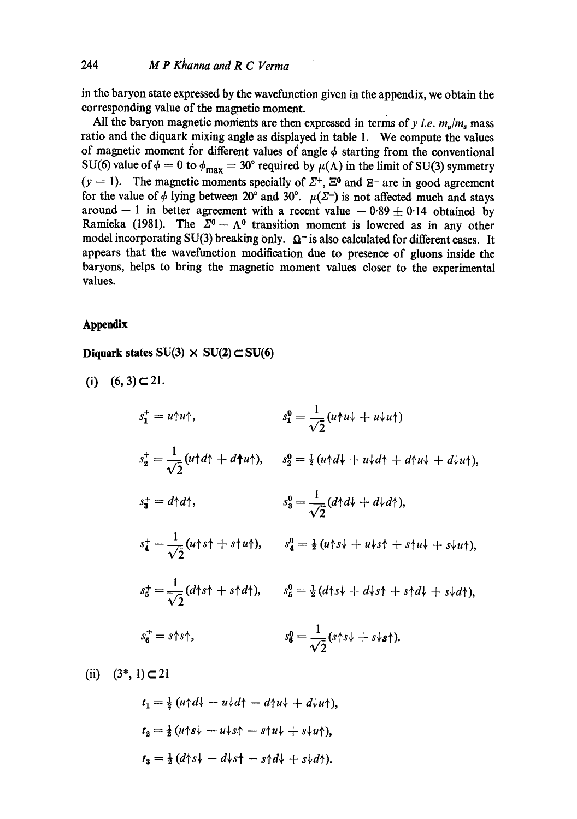in the baryon state expressed by the wavefunction given in the appendix, we obtain the corresponding value of the magnetio moment.

All the baryon magnetic moments are then expressed in terms of  $y$  *i.e.*  $m_n/m_s$  mass ratio and the diquark mixing angle as displayed in table 1. We compute the values of magnetic moment for different values of angle  $\phi$  starting from the conventional SU(6) value of  $\phi = 0$  to  $\phi_{\text{max}} = 30^{\circ}$  required by  $\mu(\Lambda)$  in the limit of SU(3) symmetry  $(y = 1)$ . The magnetic moments specially of  $\Sigma^+$ ,  $\Xi^0$  and  $\Sigma^-$  are in good agreement for the value of  $\phi$  lying between 20<sup>°</sup> and 30°.  $\mu(\Sigma^-)$  is not affected much and stays around --1 in better agreement with a recent value  $-0.89 \pm 0.14$  obtained by Ramieka (1981). The  $\Sigma^0 - \Lambda^0$  transition moment is lowered as in any other model incorporating SU(3) breaking only.  $\Omega$ <sup>-</sup> is also calculated for different cases. It appears that the wavefunetion modifieation due to presence of gluons inside the baryons, helps to bring the magnetic moment values closer to the experimental values.

## **.Appendix**

Diquark states  $SU(3) \times SU(2) \subset SU(6)$ 

(i)  $(6, 3) \subset 21$ .

$$
s_1^+ = u \uparrow u \uparrow, \qquad s_1^0 = \frac{1}{\sqrt{2}} (u \uparrow u \downarrow + u \uparrow u \uparrow)
$$
  
\n
$$
s_2^+ = \frac{1}{\sqrt{2}} (u \uparrow d \uparrow + d \uparrow u \uparrow), \qquad s_2^0 = \frac{1}{2} (u \uparrow d \downarrow + u \uparrow d \uparrow + d \uparrow u \downarrow + d \uparrow u \uparrow),
$$
  
\n
$$
s_3^+ = d \uparrow d \uparrow, \qquad s_3^0 = \frac{1}{\sqrt{2}} (d \uparrow d \downarrow + d \uparrow d \uparrow),
$$
  
\n
$$
s_4^+ = \frac{1}{\sqrt{2}} (u \uparrow s \uparrow + s \uparrow u \uparrow), \qquad s_4^0 = \frac{1}{2} (u \uparrow s \downarrow + u \downarrow s \uparrow + s \uparrow u \downarrow + s \downarrow u \uparrow),
$$
  
\n
$$
s_5^+ = \frac{1}{\sqrt{2}} (d \uparrow s \uparrow + s \uparrow d \uparrow), \qquad s_6^0 = \frac{1}{2} (d \uparrow s \downarrow + d \uparrow s \uparrow + s \uparrow d \downarrow + s \downarrow d \uparrow),
$$
  
\n
$$
s_6^+ = s \uparrow s \uparrow, \qquad s_6^0 = \frac{1}{\sqrt{2}} (s \uparrow s \downarrow + s \uparrow s \uparrow).
$$

(ii)  $(3^*, 1) \subset 21$ 

$$
t_1 = \frac{1}{2} (u \uparrow d \downarrow - u \downarrow d \uparrow - d \uparrow u \downarrow + d \downarrow u \uparrow),
$$
  
\n
$$
t_2 = \frac{1}{2} (u \uparrow s \downarrow - u \downarrow s \uparrow - s \uparrow u \downarrow + s \downarrow u \uparrow),
$$
  
\n
$$
t_3 = \frac{1}{2} (d \uparrow s \downarrow - d \downarrow s \uparrow - s \uparrow d \downarrow + s \downarrow d \uparrow).
$$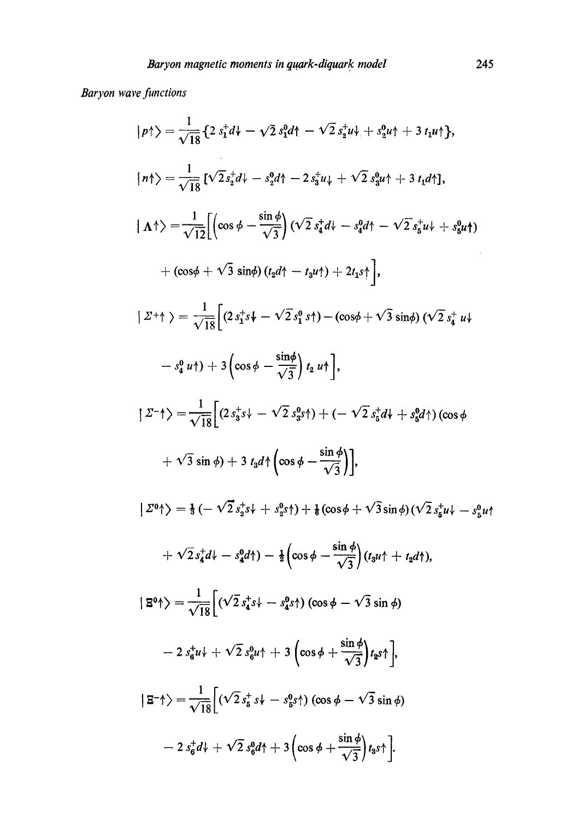# *Baryon wave functions*

$$
|p\uparrow\rangle = \frac{1}{\sqrt{18}} \{ 2 s_1^4 d + \sqrt{2} s_1^6 d \} - \sqrt{2} s_2^4 d \} + s_2^6 u \} + 3 t_1 u \}.
$$
  
\n
$$
|n\uparrow\rangle = \frac{1}{\sqrt{18}} [\sqrt{2} s_2^4 d + s_2^6 d \} - 2 s_3^4 u \} + \sqrt{2} s_3^6 u \} + 3 t_1 d \}.
$$
  
\n
$$
|\Lambda \uparrow\rangle = \frac{1}{\sqrt{12}} [(\cos \phi - \frac{\sin \phi}{\sqrt{3}}) (\sqrt{2} s_4^4 d + s_4^6 d \} - \sqrt{2} s_5^4 u \} + s_5^6 u \} )
$$
  
\n
$$
+(\cos \phi + \sqrt{3} \sin \phi) (t_2 d \} - t_3 u \} ) + 2 t_1 s \} ],
$$
  
\n
$$
|Z^+ \uparrow\rangle = \frac{1}{\sqrt{18}} [ (2 s_1^4 s \} + \sqrt{2} s_1^6 s \} ) - (\cos \phi + \sqrt{3} \sin \phi) (\sqrt{2} s_4^4 u \} )
$$
  
\n
$$
- s_4^6 u \} ) + 3 (\cos \phi - \frac{\sin \phi}{\sqrt{3}}) t_2 u \} ],
$$
  
\n
$$
|Z^- \uparrow\rangle = \frac{1}{\sqrt{18}} [ (2 s_3^4 s \} - \sqrt{2} s_3^6 s \} ) + (- \sqrt{2} s_5^4 d \} + s_5^6 d \} ) (\cos \phi )
$$
  
\n
$$
+ \sqrt{3} \sin \phi) + 3 t_3 d \uparrow (\cos \phi - \frac{\sin \phi}{\sqrt{3}}) ],
$$
  
\n
$$
|Z^0 \uparrow\rangle = \frac{1}{3} (- \sqrt{2} s_5^4 s \} + s_2^6 s \} ) + \frac{1}{6} (\cos \phi + \sqrt{3} \sin \phi) (\sqrt{2} s_5^4 u \} - s_2^6 u \} )
$$
  
\n
$$
+ \sqrt{2} s_4^4 d - s_4^6 d \} - \frac{1}{2} (\cos \phi - \frac{\sin \phi}{\sqrt{3}}) (t_3 u \uparrow + t_2 d \} ),
$$